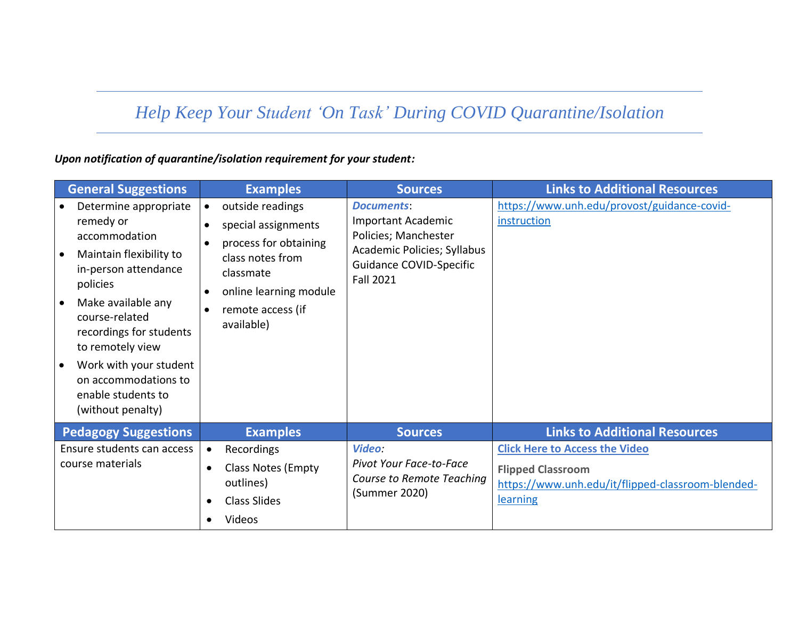## *Help Keep Your Student 'On Task' During COVID Quarantine/Isolation*

## *Upon notification of quarantine/isolation requirement for your student:*

| <b>General Suggestions</b>                                                                                                                                                                                                                                                                                                                    | <b>Examples</b>                                                                                                                                                | <b>Sources</b>                                                                                                                                              | <b>Links to Additional Resources</b>                                                                                               |
|-----------------------------------------------------------------------------------------------------------------------------------------------------------------------------------------------------------------------------------------------------------------------------------------------------------------------------------------------|----------------------------------------------------------------------------------------------------------------------------------------------------------------|-------------------------------------------------------------------------------------------------------------------------------------------------------------|------------------------------------------------------------------------------------------------------------------------------------|
| Determine appropriate<br>remedy or<br>accommodation<br>Maintain flexibility to<br>$\bullet$<br>in-person attendance<br>policies<br>Make available any<br>$\bullet$<br>course-related<br>recordings for students<br>to remotely view<br>Work with your student<br>$\bullet$<br>on accommodations to<br>enable students to<br>(without penalty) | outside readings<br>special assignments<br>process for obtaining<br>class notes from<br>classmate<br>online learning module<br>remote access (if<br>available) | <b>Documents:</b><br><b>Important Academic</b><br>Policies; Manchester<br>Academic Policies; Syllabus<br><b>Guidance COVID-Specific</b><br><b>Fall 2021</b> | https://www.unh.edu/provost/guidance-covid-<br>instruction                                                                         |
| <b>Pedagogy Suggestions</b>                                                                                                                                                                                                                                                                                                                   | <b>Examples</b>                                                                                                                                                | <b>Sources</b>                                                                                                                                              | <b>Links to Additional Resources</b>                                                                                               |
| Ensure students can access<br>course materials                                                                                                                                                                                                                                                                                                | Recordings<br>$\bullet$<br><b>Class Notes (Empty</b><br>outlines)<br><b>Class Slides</b><br>Videos                                                             | Video:<br>Pivot Your Face-to-Face<br><b>Course to Remote Teaching</b><br>(Summer 2020)                                                                      | <b>Click Here to Access the Video</b><br><b>Flipped Classroom</b><br>https://www.unh.edu/it/flipped-classroom-blended-<br>learning |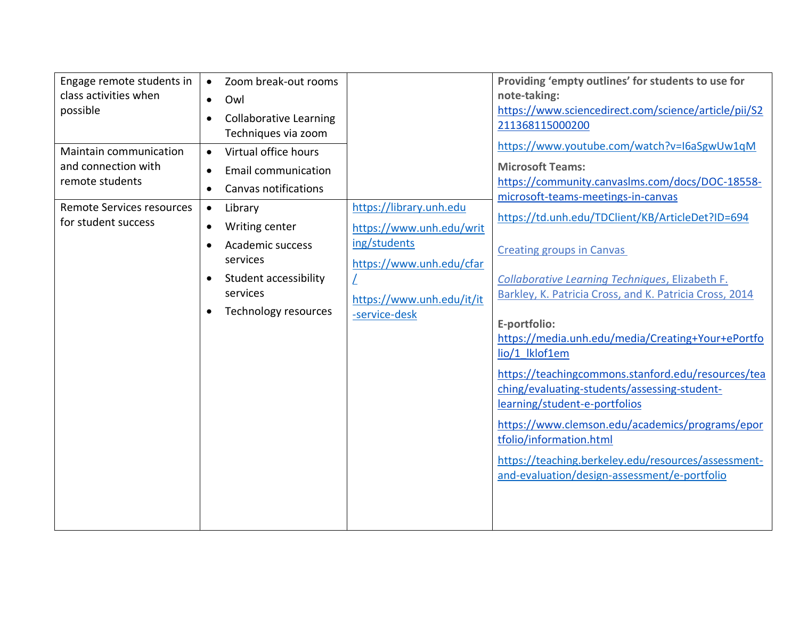| Engage remote students in<br>class activities when<br>possible<br>Maintain communication<br>and connection with<br>remote students<br><b>Remote Services resources</b><br>for student success | Zoom break-out rooms<br>$\bullet$<br>Owl<br>$\bullet$<br><b>Collaborative Learning</b><br>Techniques via zoom<br>Virtual office hours<br>$\bullet$<br><b>Email communication</b><br>$\bullet$<br><b>Canvas notifications</b><br>$\bullet$<br>Library<br>$\bullet$<br>Writing center<br>$\bullet$<br>Academic success<br>$\bullet$<br>services<br>Student accessibility<br>services<br>Technology resources | https://library.unh.edu<br>https://www.unh.edu/writ<br>ing/students<br>https://www.unh.edu/cfar<br>https://www.unh.edu/it/it<br>-service-desk | Providing 'empty outlines' for students to use for<br>note-taking:<br>https://www.sciencedirect.com/science/article/pii/S2<br>211368115000200<br>https://www.youtube.com/watch?v=I6aSgwUw1qM<br><b>Microsoft Teams:</b><br>https://community.canvaslms.com/docs/DOC-18558-<br>microsoft-teams-meetings-in-canvas<br>https://td.unh.edu/TDClient/KB/ArticleDet?ID=694<br><b>Creating groups in Canvas</b><br>Collaborative Learning Techniques, Elizabeth F.<br>Barkley, K. Patricia Cross, and K. Patricia Cross, 2014<br>E-portfolio:<br>https://media.unh.edu/media/Creating+Your+ePortfo<br>lio/1 lklof1em<br>https://teachingcommons.stanford.edu/resources/tea<br>ching/evaluating-students/assessing-student-<br>learning/student-e-portfolios<br>https://www.clemson.edu/academics/programs/epor<br>tfolio/information.html<br>https://teaching.berkeley.edu/resources/assessment-<br>and-evaluation/design-assessment/e-portfolio |
|-----------------------------------------------------------------------------------------------------------------------------------------------------------------------------------------------|------------------------------------------------------------------------------------------------------------------------------------------------------------------------------------------------------------------------------------------------------------------------------------------------------------------------------------------------------------------------------------------------------------|-----------------------------------------------------------------------------------------------------------------------------------------------|-------------------------------------------------------------------------------------------------------------------------------------------------------------------------------------------------------------------------------------------------------------------------------------------------------------------------------------------------------------------------------------------------------------------------------------------------------------------------------------------------------------------------------------------------------------------------------------------------------------------------------------------------------------------------------------------------------------------------------------------------------------------------------------------------------------------------------------------------------------------------------------------------------------------------------------------|
|-----------------------------------------------------------------------------------------------------------------------------------------------------------------------------------------------|------------------------------------------------------------------------------------------------------------------------------------------------------------------------------------------------------------------------------------------------------------------------------------------------------------------------------------------------------------------------------------------------------------|-----------------------------------------------------------------------------------------------------------------------------------------------|-------------------------------------------------------------------------------------------------------------------------------------------------------------------------------------------------------------------------------------------------------------------------------------------------------------------------------------------------------------------------------------------------------------------------------------------------------------------------------------------------------------------------------------------------------------------------------------------------------------------------------------------------------------------------------------------------------------------------------------------------------------------------------------------------------------------------------------------------------------------------------------------------------------------------------------------|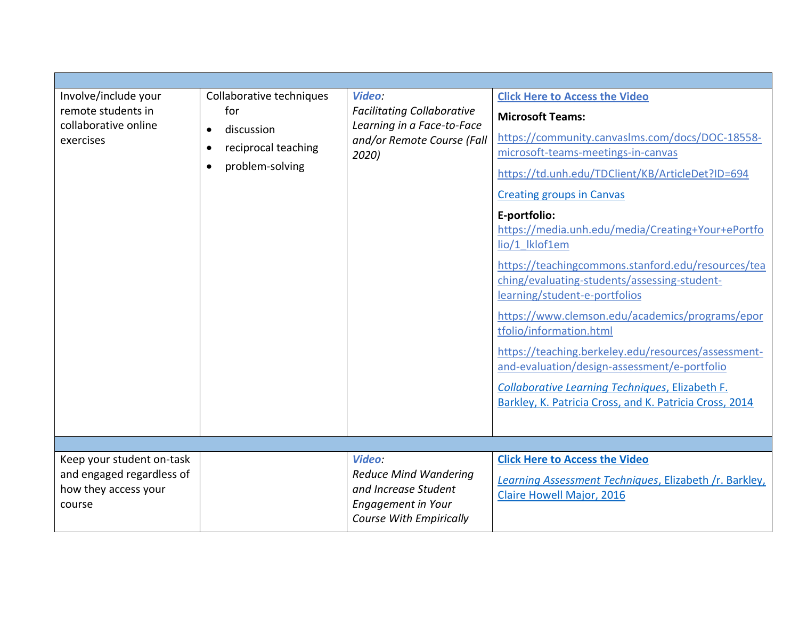| Involve/include your<br>remote students in<br>collaborative online<br>exercises          | Collaborative techniques<br>for<br>discussion<br>$\bullet$<br>reciprocal teaching<br>problem-solving<br>$\bullet$ | Video:<br><b>Facilitating Collaborative</b><br>Learning in a Face-to-Face<br>and/or Remote Course (Fall<br>2020) | <b>Click Here to Access the Video</b><br><b>Microsoft Teams:</b><br>https://community.canvaslms.com/docs/DOC-18558-<br>microsoft-teams-meetings-in-canvas<br>https://td.unh.edu/TDClient/KB/ArticleDet?ID=694<br><b>Creating groups in Canvas</b><br>E-portfolio:<br>https://media.unh.edu/media/Creating+Your+ePortfo<br>lio/1 lklof1em<br>https://teachingcommons.stanford.edu/resources/tea<br>ching/evaluating-students/assessing-student-<br>learning/student-e-portfolios<br>https://www.clemson.edu/academics/programs/epor<br>tfolio/information.html<br>https://teaching.berkeley.edu/resources/assessment-<br>and-evaluation/design-assessment/e-portfolio<br>Collaborative Learning Techniques, Elizabeth F.<br>Barkley, K. Patricia Cross, and K. Patricia Cross, 2014 |
|------------------------------------------------------------------------------------------|-------------------------------------------------------------------------------------------------------------------|------------------------------------------------------------------------------------------------------------------|------------------------------------------------------------------------------------------------------------------------------------------------------------------------------------------------------------------------------------------------------------------------------------------------------------------------------------------------------------------------------------------------------------------------------------------------------------------------------------------------------------------------------------------------------------------------------------------------------------------------------------------------------------------------------------------------------------------------------------------------------------------------------------|
|                                                                                          |                                                                                                                   |                                                                                                                  |                                                                                                                                                                                                                                                                                                                                                                                                                                                                                                                                                                                                                                                                                                                                                                                    |
| Keep your student on-task<br>and engaged regardless of<br>how they access your<br>course |                                                                                                                   | Video:<br><b>Reduce Mind Wandering</b><br>and Increase Student<br>Engagement in Your<br>Course With Empirically  | <b>Click Here to Access the Video</b><br>Learning Assessment Techniques, Elizabeth /r. Barkley,<br><b>Claire Howell Major, 2016</b>                                                                                                                                                                                                                                                                                                                                                                                                                                                                                                                                                                                                                                                |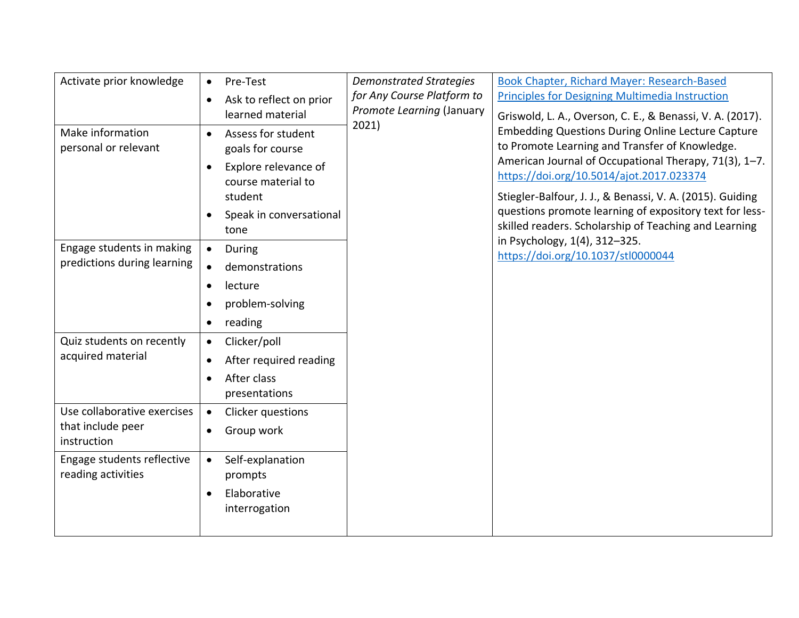| Activate prior knowledge    | Pre-Test<br>$\bullet$                | <b>Demonstrated Strategies</b> | Book Chapter, Richard Mayer: Research-Based                                                                                                                                                                                                                                  |
|-----------------------------|--------------------------------------|--------------------------------|------------------------------------------------------------------------------------------------------------------------------------------------------------------------------------------------------------------------------------------------------------------------------|
|                             | Ask to reflect on prior<br>$\bullet$ | for Any Course Platform to     | <b>Principles for Designing Multimedia Instruction</b>                                                                                                                                                                                                                       |
|                             | learned material                     | Promote Learning (January      | Griswold, L. A., Overson, C. E., & Benassi, V. A. (2017).                                                                                                                                                                                                                    |
| Make information            | Assess for student                   | 2021)                          | <b>Embedding Questions During Online Lecture Capture</b><br>to Promote Learning and Transfer of Knowledge.<br>American Journal of Occupational Therapy, 71(3), 1-7.<br>https://doi.org/10.5014/ajot.2017.023374<br>Stiegler-Balfour, J. J., & Benassi, V. A. (2015). Guiding |
| personal or relevant        | goals for course                     |                                |                                                                                                                                                                                                                                                                              |
|                             | Explore relevance of                 |                                |                                                                                                                                                                                                                                                                              |
|                             | course material to                   |                                |                                                                                                                                                                                                                                                                              |
|                             | student                              |                                |                                                                                                                                                                                                                                                                              |
|                             | Speak in conversational              |                                | questions promote learning of expository text for less-                                                                                                                                                                                                                      |
|                             | tone                                 |                                | skilled readers. Scholarship of Teaching and Learning                                                                                                                                                                                                                        |
| Engage students in making   | During<br>$\bullet$                  |                                | in Psychology, 1(4), 312-325.<br>https://doi.org/10.1037/stl0000044                                                                                                                                                                                                          |
| predictions during learning | demonstrations<br>$\bullet$          |                                |                                                                                                                                                                                                                                                                              |
|                             | lecture                              |                                |                                                                                                                                                                                                                                                                              |
|                             | problem-solving                      |                                |                                                                                                                                                                                                                                                                              |
|                             | reading<br>٠                         |                                |                                                                                                                                                                                                                                                                              |
| Quiz students on recently   | Clicker/poll<br>$\bullet$            |                                |                                                                                                                                                                                                                                                                              |
| acquired material           | After required reading               |                                |                                                                                                                                                                                                                                                                              |
|                             | After class                          |                                |                                                                                                                                                                                                                                                                              |
|                             | presentations                        |                                |                                                                                                                                                                                                                                                                              |
| Use collaborative exercises | Clicker questions<br>$\bullet$       |                                |                                                                                                                                                                                                                                                                              |
| that include peer           | Group work                           |                                |                                                                                                                                                                                                                                                                              |
| instruction                 |                                      |                                |                                                                                                                                                                                                                                                                              |
| Engage students reflective  | Self-explanation<br>$\bullet$        |                                |                                                                                                                                                                                                                                                                              |
| reading activities          | prompts                              |                                |                                                                                                                                                                                                                                                                              |
|                             | Elaborative                          |                                |                                                                                                                                                                                                                                                                              |
|                             | interrogation                        |                                |                                                                                                                                                                                                                                                                              |
|                             |                                      |                                |                                                                                                                                                                                                                                                                              |